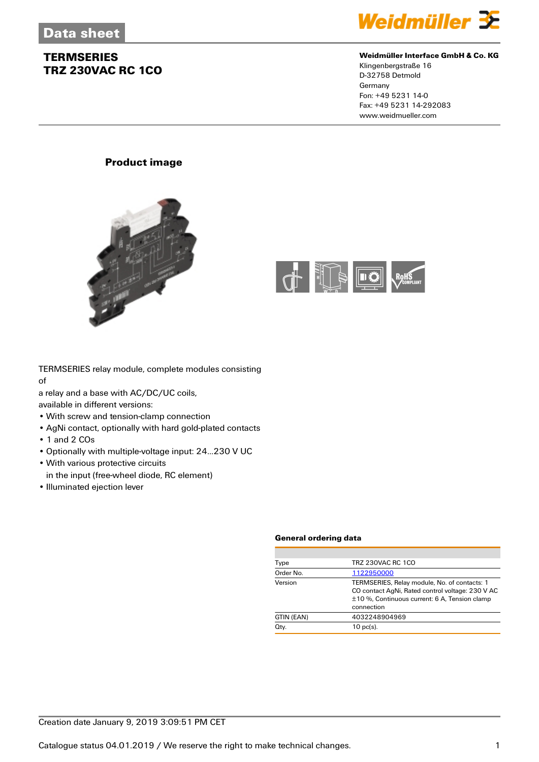

### **Weidmüller Interface GmbH & Co. KG**

Klingenbergstraße 16 D-32758 Detmold Germany Fon: +49 5231 14-0 Fax: +49 5231 14-292083 www.weidmueller.com

## **Product image**





TERMSERIES relay module, complete modules consisting of

a relay and a base with AC/DC/UC coils,

available in different versions:

- With screw and tension-clamp connection
- AgNi contact, optionally with hard gold-plated contacts
- 1 and 2 COs
- Optionally with multiple-voltage input: 24...230 V UC
- With various protective circuits
- in the input (free-wheel diode, RC element)
- Illuminated ejection lever

#### **General ordering data**

| Type       | <b>TRZ 230VAC RC 1CO</b>                                                                                                                                        |
|------------|-----------------------------------------------------------------------------------------------------------------------------------------------------------------|
| Order No.  | 1122950000                                                                                                                                                      |
| Version    | TERMSERIES, Relay module, No. of contacts: 1<br>CO contact AgNi, Rated control voltage: 230 V AC<br>±10 %, Continuous current: 6 A, Tension clamp<br>connection |
| GTIN (EAN) | 4032248904969                                                                                                                                                   |
| Qty.       | $10$ pc(s).                                                                                                                                                     |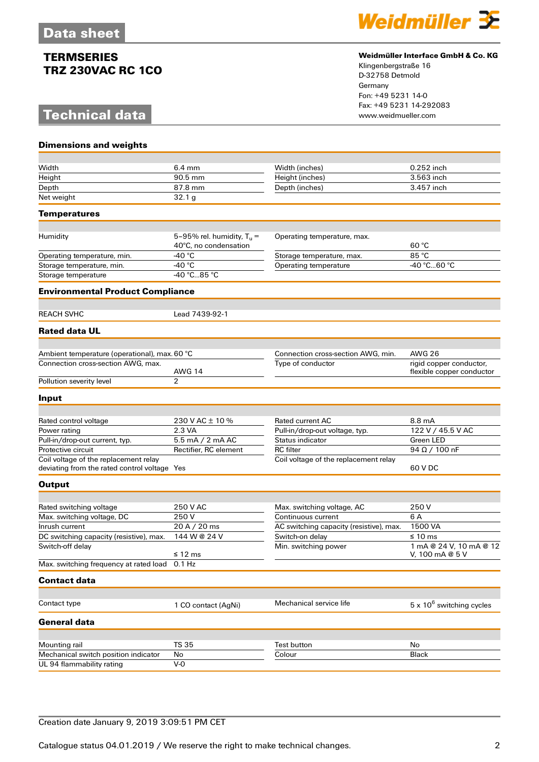# **Technical data**

**Dimensions and weights**



### **Weidmüller Interface GmbH & Co. KG**

Klingenbergstraße 16 D-32758 Detmold Germany Fon: +49 5231 14-0 Fax: +49 5231 14-292083

| Width                                                                                 | 6.4 mm                                                | Width (inches)                          | 0.252 inch                                           |
|---------------------------------------------------------------------------------------|-------------------------------------------------------|-----------------------------------------|------------------------------------------------------|
| Height                                                                                | 90.5 mm                                               | Height (inches)                         | 3.563 inch                                           |
| Depth                                                                                 | 87.8 mm                                               | Depth (inches)                          | 3.457 inch                                           |
| Net weight                                                                            | 32.1 <sub>g</sub>                                     |                                         |                                                      |
| <b>Temperatures</b>                                                                   |                                                       |                                         |                                                      |
|                                                                                       |                                                       |                                         |                                                      |
| Humidity                                                                              | 5-95% rel. humidity, $T_u =$<br>40°C, no condensation | Operating temperature, max.             | 60 °C                                                |
| Operating temperature, min.                                                           | -40 °C                                                | Storage temperature, max.               | 85 °C                                                |
| Storage temperature, min.                                                             | -40 °C                                                | Operating temperature                   | -40 °C60 °C                                          |
| Storage temperature                                                                   | -40 °C85 °C                                           |                                         |                                                      |
| <b>Environmental Product Compliance</b>                                               |                                                       |                                         |                                                      |
| <b>REACH SVHC</b>                                                                     | Lead 7439-92-1                                        |                                         |                                                      |
| <b>Rated data UL</b>                                                                  |                                                       |                                         |                                                      |
|                                                                                       |                                                       |                                         |                                                      |
| Ambient temperature (operational), max. 60 °C                                         |                                                       | Connection cross-section AWG, min.      | <b>AWG 26</b>                                        |
| Connection cross-section AWG, max.                                                    | <b>AWG 14</b>                                         | Type of conductor                       | rigid copper conductor,<br>flexible copper conductor |
| Pollution severity level                                                              | $\overline{2}$                                        |                                         |                                                      |
| Input                                                                                 |                                                       |                                         |                                                      |
|                                                                                       |                                                       |                                         |                                                      |
| Rated control voltage                                                                 | 230 V AC ± 10 %                                       | <b>Rated current AC</b>                 | 8.8 mA                                               |
| Power rating                                                                          | 2.3 VA                                                | Pull-in/drop-out voltage, typ.          | 122 V / 45.5 V AC                                    |
| Pull-in/drop-out current, typ.                                                        | 5.5 mA / 2 mA AC                                      | Status indicator                        | Green LED                                            |
| Protective circuit                                                                    | Rectifier, RC element                                 | <b>RC</b> filter                        | $94 \Omega / 100 \text{ nF}$                         |
| Coil voltage of the replacement relay<br>deviating from the rated control voltage Yes |                                                       | Coil voltage of the replacement relay   | 60 V DC                                              |
| <b>Output</b>                                                                         |                                                       |                                         |                                                      |
|                                                                                       |                                                       |                                         |                                                      |
| Rated switching voltage                                                               | 250 V AC                                              | Max. switching voltage, AC              | 250 V                                                |
| Max. switching voltage, DC                                                            | 250V                                                  | Continuous current                      | 6 A                                                  |
| Inrush current                                                                        | 20 A / 20 ms                                          | AC switching capacity (resistive), max. | 1500 VA                                              |
| DC switching capacity (resistive), max.                                               | 144 W @ 24 V                                          | Switch-on delay                         | $\leq 10$ ms                                         |
| Switch-off delay                                                                      | ≤ 12 ms                                               | Min. switching power                    | 1 mA @ 24 V, 10 mA @ 12<br>V. 100 mA $@5V$           |
| Max. switching frequency at rated load 0.1 Hz                                         |                                                       |                                         |                                                      |
| <b>Contact data</b>                                                                   |                                                       |                                         |                                                      |
|                                                                                       |                                                       |                                         |                                                      |
| Contact type                                                                          | 1 CO contact (AgNi)                                   | Mechanical service life                 | $5 \times 10^6$ switching cycles                     |
| <b>General data</b>                                                                   |                                                       |                                         |                                                      |
| Mounting rail                                                                         | <b>TS 35</b>                                          | <b>Test button</b>                      | No                                                   |
| Mechanical switch position indicator                                                  | No                                                    | Colour                                  | <b>Black</b>                                         |
| UL 94 flammability rating                                                             | $V-0$                                                 |                                         |                                                      |
|                                                                                       |                                                       |                                         |                                                      |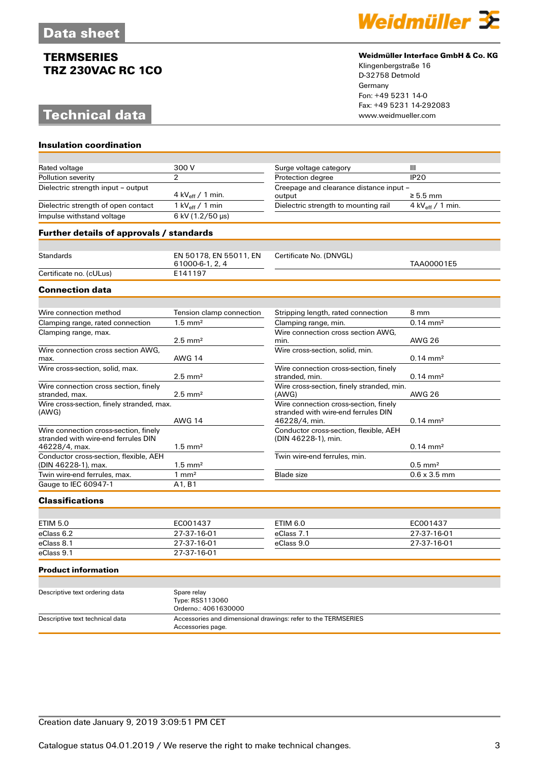# **Technical data**

**Insulation coordination**



### **Weidmüller Interface GmbH & Co. KG**

Klingenbergstraße 16 D-32758 Detmold Germany Fon: +49 5231 14-0 Fax: +49 5231 14-292083

| Rated voltage                                   | 300 V                                     | Surge voltage category                  | Ш                          |
|-------------------------------------------------|-------------------------------------------|-----------------------------------------|----------------------------|
| Pollution severity                              | $\overline{2}$                            | Protection degree                       | <b>IP20</b>                |
| Dielectric strength input - output              |                                           | Creepage and clearance distance input - |                            |
|                                                 | 4 kV <sub>eff</sub> / 1 min.              | output                                  | $\ge$ 5.5 mm               |
| Dielectric strength of open contact             | 1 kV $_{\rm eff}$ / 1 min                 | Dielectric strength to mounting rail    | 4 kV $_{\rm eff}$ / 1 min. |
| Impulse withstand voltage                       | 6 kV (1.2/50 µs)                          |                                         |                            |
| <b>Further details of approvals / standards</b> |                                           |                                         |                            |
|                                                 |                                           |                                         |                            |
| <b>Standards</b>                                | EN 50178, EN 55011, EN<br>61000-6-1, 2, 4 | Certificate No. (DNVGL)                 | TAA00001E5                 |
| Certificate no. (cULus)                         | E141197                                   |                                         |                            |
| <b>Connection data</b>                          |                                           |                                         |                            |
|                                                 |                                           |                                         |                            |
| Wire connection method                          | Tension clamp connection                  | Stripping length, rated connection      | 8 mm                       |
| Clamping range, rated connection                | $1.5 \text{ mm}^2$                        | Clamping range, min.                    | $0.14 \text{ mm}^2$        |
| Clamping range, max.                            |                                           | Wire connection cross section AWG,      |                            |
|                                                 | $2.5$ mm <sup>2</sup>                     | min.                                    | AWG 26                     |
| Wire connection cross section AWG.              |                                           | Wire cross-section, solid, min.         |                            |
| max.                                            | <b>AWG 14</b>                             |                                         | $0.14 \text{ mm}^2$        |
| Wire cross-section, solid, max.                 |                                           | Wire connection cross-section, finely   |                            |
|                                                 | $2.5$ mm <sup>2</sup>                     | stranded, min.                          | $0.14 \text{ mm}^2$        |

| Wire connection cross section, finely                                        |                                 | Wire cross-section, finely stranded, min.                                                     |                     |
|------------------------------------------------------------------------------|---------------------------------|-----------------------------------------------------------------------------------------------|---------------------|
| stranded, max.                                                               | $2.5 \text{ mm}^2$              | (AWG)                                                                                         | AWG 26              |
| Wire cross-section, finely stranded, max.<br>(AWG)                           | <b>AWG 14</b>                   | Wire connection cross-section, finely<br>stranded with wire-end ferrules DIN<br>46228/4, min. | $0.14 \text{ mm}^2$ |
| Wire connection cross-section, finely<br>stranded with wire-end ferrules DIN |                                 | Conductor cross-section, flexible, AEH<br>(DIN 46228-1), min.                                 |                     |
| 46228/4, max.                                                                | $1.5 \text{ mm}^2$              |                                                                                               | $0.14 \text{ mm}^2$ |
| Conductor cross-section, flexible, AEH                                       |                                 | Twin wire-end ferrules, min.                                                                  |                     |
| (DIN 46228-1), max.                                                          | $1.5 \text{ mm}^2$              |                                                                                               | $0.5 \text{ mm}^2$  |
| Twin wire-end ferrules, max.                                                 | mm <sup>2</sup>                 | <b>Blade size</b>                                                                             | $0.6 \times 3.5$ mm |
| Gauge to IEC 60947-1                                                         | A <sub>1</sub> , B <sub>1</sub> |                                                                                               |                     |

## **Classifications**

| ETIM 5.0   | EC001437    | ETIM 6.0   | EC001437    |
|------------|-------------|------------|-------------|
| eClass 6.2 | 27-37-16-01 | eClass 7.1 | 27-37-16-01 |
| eClass 8.1 | 27-37-16-01 | eClass 9.0 | 27-37-16-01 |
| eClass 9.1 | 27-37-16-01 |            |             |

#### **Product information**

| Descriptive text ordering data  | Spare relay                                                   |
|---------------------------------|---------------------------------------------------------------|
|                                 | Type: RSS113060                                               |
|                                 | Orderno.: 4061630000                                          |
| Descriptive text technical data | Accessories and dimensional drawings: refer to the TERMSERIES |
|                                 | Accessories page.                                             |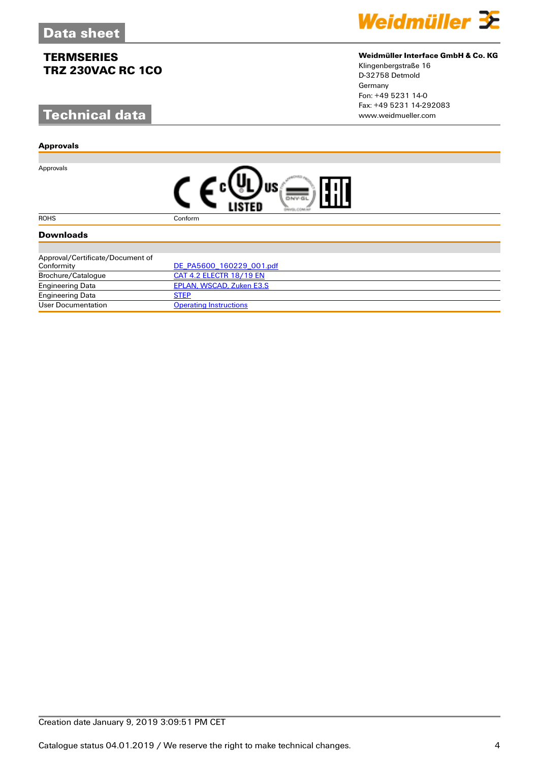# **Technical data**

### **Approvals**

Approvals



### **Weidmüller Interface GmbH & Co. KG**

Klingenbergstraße 16 D-32758 Detmold Germany Fon: +49 5231 14-0 Fax: +49 5231 14-292083

|--|

#### ROHS Conform

## **Downloads**

| Approval/Certificate/Document of |                                |
|----------------------------------|--------------------------------|
| Conformity                       | DE PA5600 160229 001.pdf       |
| Brochure/Catalogue               | <b>CAT 4.2 ELECTR 18/19 EN</b> |
| <b>Engineering Data</b>          | EPLAN, WSCAD, Zuken E3.S       |
| <b>Engineering Data</b>          | <b>STEP</b>                    |
| User Documentation               | <b>Operating Instructions</b>  |

## Creation date January 9, 2019 3:09:51 PM CET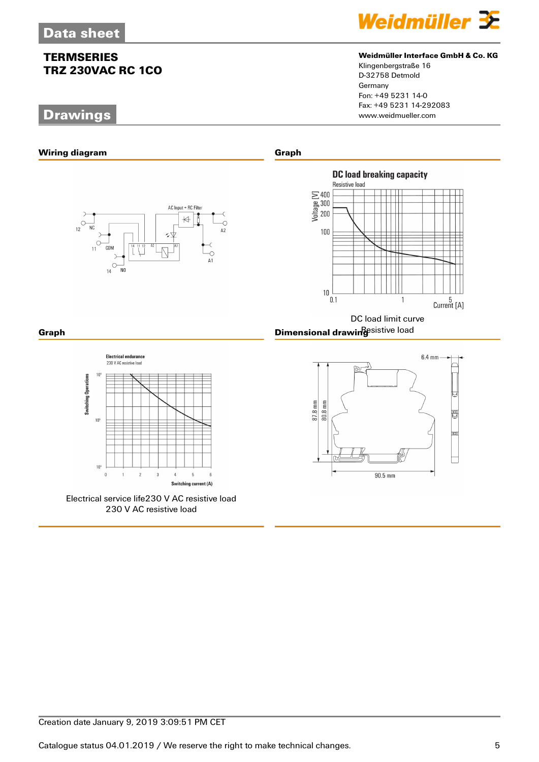# **Drawings**



## **Weidmüller Interface GmbH & Co. KG**

Klingenbergstraße 16 D-32758 Detmold Germany Fon: +49 5231 14-0 Fax: +49 5231 14-292083